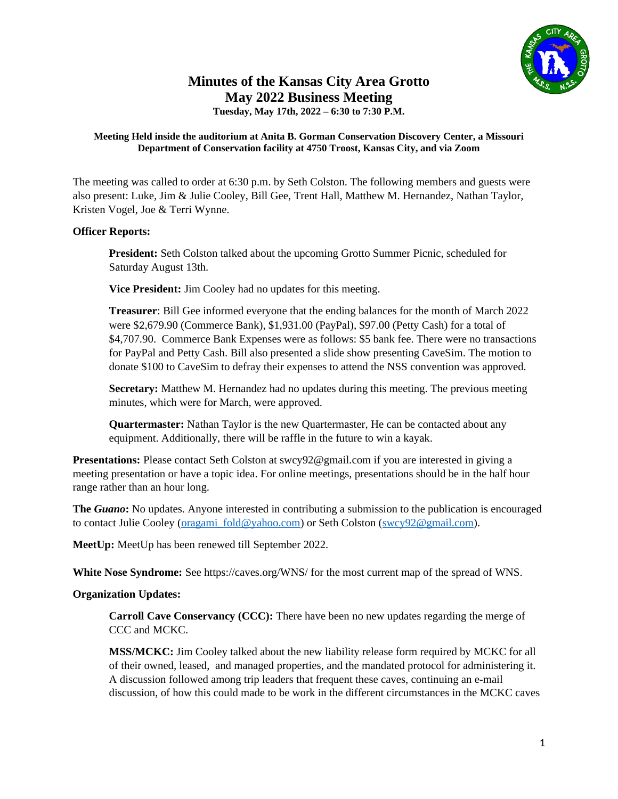

# **Minutes of the Kansas City Area Grotto May 2022 Business Meeting**

**Tuesday, May 17th, 2022 – 6:30 to 7:30 P.M.**

#### **Meeting Held inside the auditorium at Anita B. Gorman Conservation Discovery Center, a Missouri Department of Conservation facility at 4750 Troost, Kansas City, and via Zoom**

The meeting was called to order at 6:30 p.m. by Seth Colston. The following members and guests were also present: Luke, Jim & Julie Cooley, Bill Gee, Trent Hall, Matthew M. Hernandez, Nathan Taylor, Kristen Vogel, Joe & Terri Wynne.

# **Officer Reports:**

**President:** Seth Colston talked about the upcoming Grotto Summer Picnic, scheduled for Saturday August 13th.

**Vice President:** Jim Cooley had no updates for this meeting.

**Treasurer**: Bill Gee informed everyone that the ending balances for the month of March 2022 were \$2,679.90 (Commerce Bank), \$1,931.00 (PayPal), \$97.00 (Petty Cash) for a total of \$4,707.90. Commerce Bank Expenses were as follows: \$5 bank fee. There were no transactions for PayPal and Petty Cash. Bill also presented a slide show presenting CaveSim. The motion to donate \$100 to CaveSim to defray their expenses to attend the NSS convention was approved.

**Secretary:** Matthew M. Hernandez had no updates during this meeting. The previous meeting minutes, which were for March, were approved.

**Quartermaster:** Nathan Taylor is the new Quartermaster, He can be contacted about any equipment. Additionally, there will be raffle in the future to win a kayak.

**Presentations:** Please contact Seth Colston at swcy92@gmail.com if you are interested in giving a meeting presentation or have a topic idea. For online meetings, presentations should be in the half hour range rather than an hour long.

**The** *Guano***:** No updates. Anyone interested in contributing a submission to the publication is encouraged to contact Julie Cooley ([oragami\\_fold@yahoo.com\)](mailto:oragami_fold@yahoo.com) or Seth Colston ([swcy92@gmail.com](mailto:swcy92@gmail.com)).

**MeetUp:** MeetUp has been renewed till September 2022.

**White Nose Syndrome:** See https://caves.org/WNS/ for the most current map of the spread of WNS.

# **Organization Updates:**

**Carroll Cave Conservancy (CCC):** There have been no new updates regarding the merge of CCC and MCKC.

**MSS/MCKC:** Jim Cooley talked about the new liability release form required by MCKC for all of their owned, leased, and managed properties, and the mandated protocol for administering it. A discussion followed among trip leaders that frequent these caves, continuing an e-mail discussion, of how this could made to be work in the different circumstances in the MCKC caves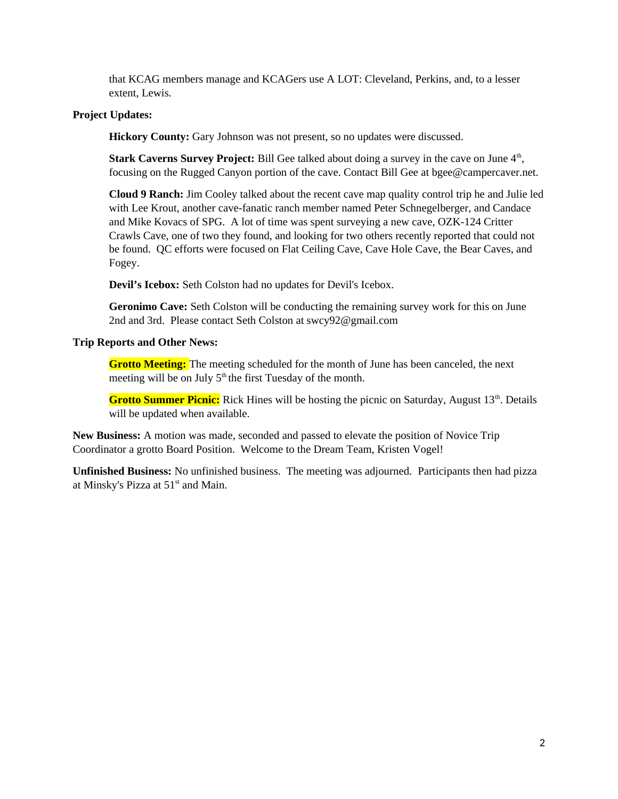that KCAG members manage and KCAGers use A LOT: Cleveland, Perkins, and, to a lesser extent, Lewis.

#### **Project Updates:**

**Hickory County:** Gary Johnson was not present, so no updates were discussed.

**Stark Caverns Survey Project:** Bill Gee talked about doing a survey in the cave on June 4<sup>th</sup>, focusing on the Rugged Canyon portion of the cave. Contact Bill Gee at bgee@campercaver.net.

**Cloud 9 Ranch:** Jim Cooley talked about the recent cave map quality control trip he and Julie led with Lee Krout, another cave-fanatic ranch member named Peter Schnegelberger, and Candace and Mike Kovacs of SPG. A lot of time was spent surveying a new cave, OZK-124 Critter Crawls Cave, one of two they found, and looking for two others recently reported that could not be found. QC efforts were focused on Flat Ceiling Cave, Cave Hole Cave, the Bear Caves, and Fogey.

**Devil's Icebox:** Seth Colston had no updates for Devil's Icebox.

**Geronimo Cave:** Seth Colston will be conducting the remaining survey work for this on June 2nd and 3rd. Please contact Seth Colston at swcy92@gmail.com

### **Trip Reports and Other News:**

**Grotto Meeting:** The meeting scheduled for the month of June has been canceled, the next meeting will be on July  $5<sup>th</sup>$  the first Tuesday of the month.

**Grotto Summer Picnic:** Rick Hines will be hosting the picnic on Saturday, August 13<sup>th</sup>. Details will be updated when available.

**New Business:** A motion was made, seconded and passed to elevate the position of Novice Trip Coordinator a grotto Board Position. Welcome to the Dream Team, Kristen Vogel!

**Unfinished Business:** No unfinished business. The meeting was adjourned. Participants then had pizza at Minsky's Pizza at  $51<sup>st</sup>$  and Main.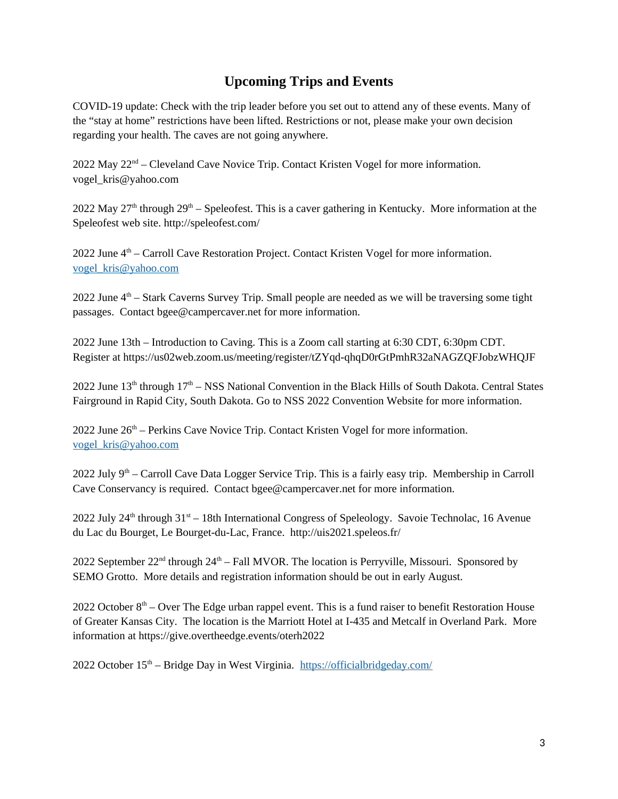# **Upcoming Trips and Events**

COVID-19 update: Check with the trip leader before you set out to attend any of these events. Many of the "stay at home" restrictions have been lifted. Restrictions or not, please make your own decision regarding your health. The caves are not going anywhere.

 $2022$  May  $22<sup>nd</sup>$  – Cleveland Cave Novice Trip. Contact Kristen Vogel for more information. vogel\_kris@yahoo.com

2022 May 27<sup>th</sup> through 29<sup>th</sup> – Speleofest. This is a caver gathering in Kentucky. More information at the Speleofest web site. http://speleofest.com/

2022 June  $4<sup>th</sup>$  – Carroll Cave Restoration Project. Contact Kristen Vogel for more information. [vogel\\_kris@yahoo.com](mailto:vogel_kris@yahoo.com)

2022 June  $4<sup>th</sup>$  – Stark Caverns Survey Trip. Small people are needed as we will be traversing some tight passages. Contact bgee@campercaver.net for more information.

2022 June 13th – Introduction to Caving. This is a Zoom call starting at 6:30 CDT, 6:30pm CDT. Register at https://us02web.zoom.us/meeting/register/tZYqd-qhqD0rGtPmhR32aNAGZQFJobzWHQJF

2022 June  $13<sup>th</sup>$  through  $17<sup>th</sup>$  – NSS National Convention in the Black Hills of South Dakota. Central States Fairground in Rapid City, South Dakota. Go to NSS 2022 Convention Website for more information.

2022 June  $26<sup>th</sup>$  – Perkins Cave Novice Trip. Contact Kristen Vogel for more information. [vogel\\_kris@yahoo.com](mailto:vogel_kris@yahoo.com)

2022 July  $9<sup>th</sup>$  – Carroll Cave Data Logger Service Trip. This is a fairly easy trip. Membership in Carroll Cave Conservancy is required. Contact bgee@campercaver.net for more information.

2022 July 24<sup>th</sup> through  $31<sup>st</sup> - 18$ th International Congress of Speleology. Savoie Technolac, 16 Avenue du Lac du Bourget, Le Bourget-du-Lac, France. http://uis2021.speleos.fr/

2022 September 22<sup>nd</sup> through 24<sup>th</sup> – Fall MVOR. The location is Perryville, Missouri. Sponsored by SEMO Grotto. More details and registration information should be out in early August.

2022 October  $8<sup>th</sup>$  – Over The Edge urban rappel event. This is a fund raiser to benefit Restoration House of Greater Kansas City. The location is the Marriott Hotel at I-435 and Metcalf in Overland Park. More information at https://give.overtheedge.events/oterh2022

2022 October  $15<sup>th</sup>$  – Bridge Day in West Virginia. <https://officialbridgeday.com/>